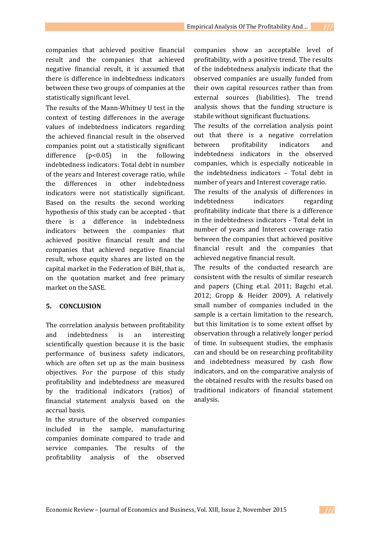companies that achieved positive financial result and the companies that achieved negative financial result, it is assumed that there is difference in indebtedness indicators between these two groups of companies at the statistically significant level.

The results of the Mann-Whitney U test in the context of testing differences in the average values of indebtedness indicators regarding the achieved financial result in the observed companies point out a statistically significant difference  $(p<0.05)$  in the following indebtedness indicators: Total debt in number of the years and Interest coverage ratio, while the differences in other indebtedness indicators were not statistically significant. Based on the results the second working hypothesis of this study can be accepted - that there is a difference in indebtedness indicators between the companies that achieved positive financial result and the companies that achieved negative financial result, whose equity shares are listed on the capital market in the Federation of BiH, that is, on the quotation market and free primary market on the SASE.

# **5. CONCLUSION**

The correlation analysis between profitability and indebtedness is an interesting scientifically question because it is the basic performance of business safety indicators, which are often set up as the main business objectives. For the purpose of this study profitability and indebtedness are measured by the traditional indicators (ratios) of financial statement analysis based on the accrual basis.

In the structure of the observed companies included in the sample, manufacturing companies dominate compared to trade and service companies. The results of the profitability analysis of the observed

companies show an acceptable level of profitability, with a positive trend. The results of the indebtedness analysis indicate that the observed companies are usually funded from their own capital resources rather than from external sources (liabilities). The trend analysis shows that the funding structure is stabile without significant fluctuations.

The results of the correlation analysis point out that there is a negative correlation between profitability indicators and indebtedness indicators in the observed companies, which is especially noticeable in the indebtedness indicators – Total debt in number of years and Interest coverage ratio.

The results of the analysis of differences in indebtedness indicators regarding profitability indicate that there is a difference in the indebtedness indicators - Total debt in number of years and Interest coverage ratio between the companies that achieved positive financial result and the companies that achieved negative financial result.

The results of the conducted research are consistent with the results of similar research and papers (Ching et.al. 2011; Bagchi et.al. 2012; Gropp & Heider 2009). A relatively small number of companies included in the sample is a certain limitation to the research, but this limitation is to some extent offset by observation through a relatively longer period of time. In subsequent studies, the emphasis can and should be on researching profitability and indebtedness measured by cash flow indicators, and on the comparative analysis of the obtained results with the results based on traditional indicators of financial statement analysis.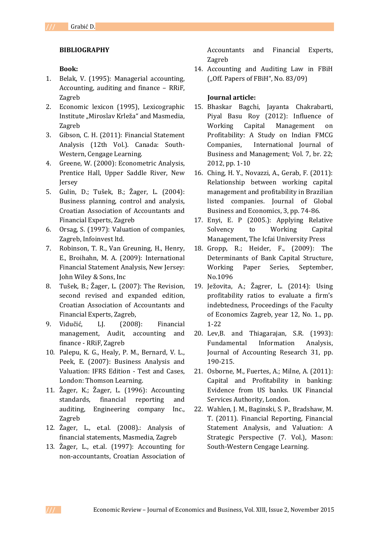## **BIBLIOGRAPHY**

### **Book:**

- 1. Belak, V. (1995): Managerial accounting, Accounting, auditing and finance – RRiF, Zagreb
- 2. Economic lexicon (1995), Lexicographic Institute "Miroslav Krleža" and Masmedia, Zagreb
- 3. Gibson, C. H. (2011): Financial Statement Analysis (12th Vol.). Canada: South-Western, Cengage Learning.
- 4. Greene, W. (2000): Econometric Analysis, Prentice Hall, Upper Saddle River, New Jersey
- 5. Gulin, D.; Tušek, B.; Žager, L. (2004): Business planning, control and analysis, Croatian Association of Accountants and Financial Experts, Zagreb
- 6. Orsag, S. (1997): Valuation of companies, Zagreb, Infoinvest ltd.
- 7. Robinson, T. R., Van Greuning, H., Henry, E., Broihahn, M. A. (2009): International Financial Statement Analysis, New Jersey: John Wiley & Sons, Inc
- 8. Tušek, B.; Žager, L. (2007): The Revision, second revised and expanded edition, Croatian Association of Accountants and Financial Experts, Zagreb,
- 9. Vidučić, LJ. (2008): Financial management, Audit, accounting and finance - RRiF, Zagreb
- 10. Palepu, K. G., Healy, P. M., Bernard, V. L., Peek, E. (2007): Business Analysis and Valuation: IFRS Edition - Test and Cases, London: Thomson Learning.
- 11. Žager, K.; Žager, L. (1996): Accounting standards, financial reporting and auditing, Engineering company Inc., Zagreb
- 12. Žager, L., et.al. (2008).: Analysis of financial statements, Masmedia, Zagreb
- 13. Žager, L., et.al. (1997): Accounting for non-accountants, Croatian Association of

Accountants and Financial Experts, Zagreb

14. Accounting and Auditing Law in FBiH  $($ "Off. Papers of FBiH", No. 83/09)

## **Journal article:**

- 15. Bhaskar Bagchi, Jayanta Chakrabarti, Piyal Basu Roy (2012): Influence of Working Capital Management on Profitability: A Study on Indian FMCG Companies, International Journal of Business and Management; Vol. 7, br. 22; 2012, pp. 1-10
- 16. Ching, H. Y., Novazzi, A., Gerab, F. (2011): Relationship between working capital management and profitability in Brazilian listed companies. Journal of Global Business and Economics, 3, pp. 74-86.
- 17. Enyi, E. P (2005.): Applying Relative Solvency to Working Capital Management, The Icfai University Press
- 18. Gropp, R.; Heider, F., (2009): The Determinants of Bank Capital Structure, Working Paper Series, September, No.1096
- 19. Ježovita, A.; Žagrer, L. (2014): Using profitability ratios to evaluate a firm's indebtedness, Proceedings of the Faculty of Economics Zagreb, year 12, No. 1., pp. 1-22
- 20. Lev,B. and Thiagarajan, S.R. (1993): Fundamental Information Analysis, Journal of Accounting Research 31, pp. 190-215.
- 21. Osborne, M., Fuertes, A.; Milne, A. (2011): Capital and Profitability in banking: Evidence from US banks. UK Financial Services Authority, London.
- 22. Wahlen, J. M., Baginski, S. P., Bradshaw, M. T. (2011). Financial Reporting, Financial Statement Analysis, and Valuation: A Strategic Perspective (7. Vol.), Mason: South-Western Cengage Learning.